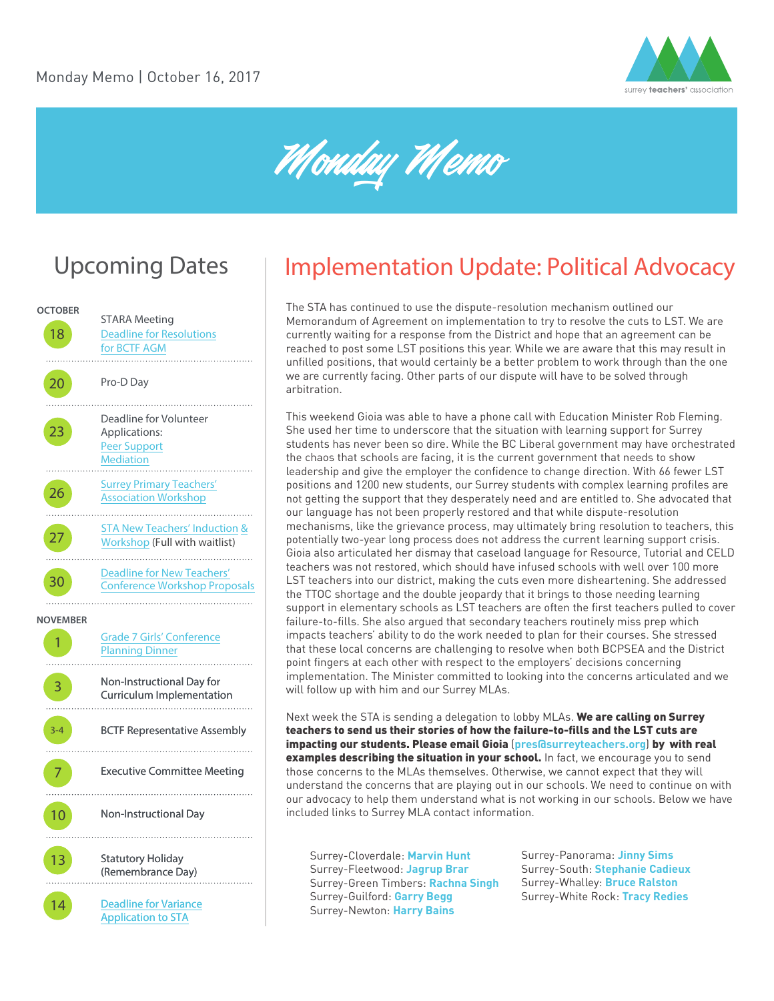

Monday Memo

# Upcoming Dates



# Implementation Update: Political Advocacy

The STA has continued to use the dispute-resolution mechanism outlined our Memorandum of Agreement on implementation to try to resolve the cuts to LST. We are currently waiting for a response from the District and hope that an agreement can be reached to post some LST positions this year. While we are aware that this may result in unfilled positions, that would certainly be a better problem to work through than the one we are currently facing. Other parts of our dispute will have to be solved through arbitration.

This weekend Gioia was able to have a phone call with Education Minister Rob Fleming. She used her time to underscore that the situation with learning support for Surrey students has never been so dire. While the BC Liberal government may have orchestrated the chaos that schools are facing, it is the current government that needs to show leadership and give the employer the confidence to change direction. With 66 fewer LST positions and 1200 new students, our Surrey students with complex learning profiles are not getting the support that they desperately need and are entitled to. She advocated that our language has not been properly restored and that while dispute-resolution mechanisms, like the grievance process, may ultimately bring resolution to teachers, this potentially two-year long process does not address the current learning support crisis. Gioia also articulated her dismay that caseload language for Resource, Tutorial and CELD teachers was not restored, which should have infused schools with well over 100 more LST teachers into our district, making the cuts even more disheartening. She addressed the TTOC shortage and the double jeopardy that it brings to those needing learning support in elementary schools as LST teachers are often the first teachers pulled to cover failure-to-fills. She also argued that secondary teachers routinely miss prep which impacts teachers' ability to do the work needed to plan for their courses. She stressed that these local concerns are challenging to resolve when both BCPSEA and the District point fingers at each other with respect to the employers' decisions concerning implementation. The Minister committed to looking into the concerns articulated and we will follow up with him and our Surrey MLAs.

Next week the STA is sending a delegation to lobby MLAs. We are calling on Surrey teachers to send us their stories of how the failure-to-fills and the LST cuts are impacting our students. Please email Gioia (**pres@surreyteachers.org**) by with real examples describing the situation in your school. In fact, we encourage you to send those concerns to the MLAs themselves. Otherwise, we cannot expect that they will understand the concerns that are playing out in our schools. We need to continue on with our advocacy to help them understand what is not working in our schools. Below we have included links to Surrey MLA contact information.

Surrey-Cloverdale: **[Marvin Hunt](https://www.leg.bc.ca/learn-about-us/members/41st-Parliament/Hunt-Marvin)**  Surrey-Fleetwood: **[Jagrup Brar](https://www.leg.bc.ca/learn-about-us/members/41st-Parliament/Brar-Jagrup)** Surrey-Green Timbers: **[Rachna Singh](https://www.leg.bc.ca/learn-about-us/members/41st-Parliament/Singh-Rachna)**  Surrey-Guilford: **[Garry Begg](https://www.leg.bc.ca/learn-about-us/members/41st-Parliament/Begg-Garry)**  Surrey-Newton: **[Harry Bains](https://www.leg.bc.ca/learn-about-us/members/41st-Parliament/Bains-Harry)**

Surrey-Panorama: **[Jinny Sims](https://www.leg.bc.ca/learn-about-us/members/41st-Parliament/Sims-Jinny)**  Surrey-South: **[Stephanie Cadieux](https://www.leg.bc.ca/learn-about-us/members/41st-Parliament/Cadieux-Stephanie)** Surrey-Whalley: **[Bruce Ralston](https://www.leg.bc.ca/learn-about-us/members/41st-Parliament/Ralston-Bruce)**  Surrey-White Rock: **[Tracy Redies](https://www.leg.bc.ca/learn-about-us/members/41st-Parliament/Redies-Tracy)**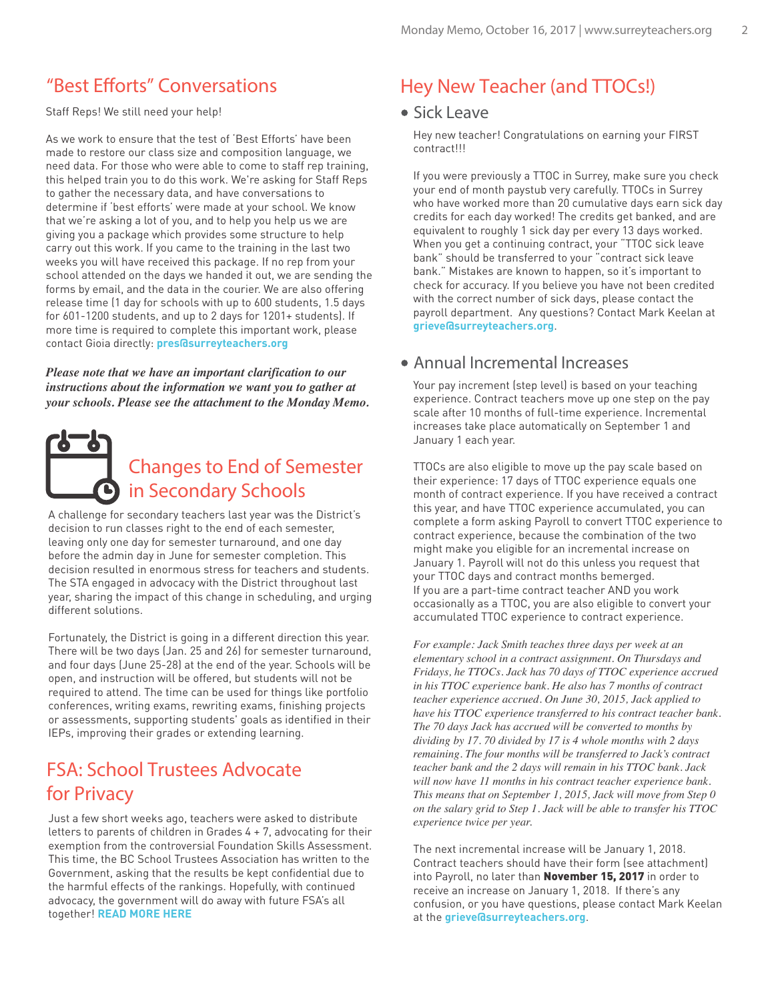Staff Reps! We still need your help!

As we work to ensure that the test of 'Best Efforts' have been made to restore our class size and composition language, we need data. For those who were able to come to staff rep training, this helped train you to do this work. We're asking for Staff Reps to gather the necessary data, and have conversations to determine if 'best efforts' were made at your school. We know that we're asking a lot of you, and to help you help us we are giving you a package which provides some structure to help carry out this work. If you came to the training in the last two weeks you will have received this package. If no rep from your school attended on the days we handed it out, we are sending the forms by email, and the data in the courier. We are also offering release time (1 day for schools with up to 600 students, 1.5 days for 601-1200 students, and up to 2 days for 1201+ students). If more time is required to complete this important work, please contact Gioia directly: **pres@surreyteachers.org**

*Please note that we have an important clarification to our instructions about the information we want you to gather at your schools. Please see the attachment to the Monday Memo.* 



A challenge for secondary teachers last year was the District's decision to run classes right to the end of each semester, leaving only one day for semester turnaround, and one day before the admin day in June for semester completion. This decision resulted in enormous stress for teachers and students. The STA engaged in advocacy with the District throughout last year, sharing the impact of this change in scheduling, and urging different solutions.

Fortunately, the District is going in a different direction this year. There will be two days (Jan. 25 and 26) for semester turnaround, and four days (June 25-28) at the end of the year. Schools will be open, and instruction will be offered, but students will not be required to attend. The time can be used for things like portfolio conferences, writing exams, rewriting exams, finishing projects or assessments, supporting students' goals as identified in their IEPs, improving their grades or extending learning.

### FSA: School Trustees Advocate for Privacy

Just a few short weeks ago, teachers were asked to distribute letters to parents of children in Grades 4 + 7, advocating for their exemption from the controversial Foundation Skills Assessment. This time, the BC School Trustees Association has written to the Government, asking that the results be kept confidential due to the harmful effects of the rankings. Hopefully, with continued advocacy, the government will do away with future FSA's all together! **[READ MORE HERE](https://globalnews.ca/news/3796174/b-c-school-trustees-urge-education-minister-to-hide-standardized-test-results/)**

### "Best Efforts" Conversations **Hey New Teacher (and TTOCs!)**

### Sick Leave

Hey new teacher! Congratulations on earning your FIRST contract!!!

If you were previously a TTOC in Surrey, make sure you check your end of month paystub very carefully. TTOCs in Surrey who have worked more than 20 cumulative days earn sick day credits for each day worked! The credits get banked, and are equivalent to roughly 1 sick day per every 13 days worked. When you get a continuing contract, your "TTOC sick leave bank" should be transferred to your "contract sick leave bank." Mistakes are known to happen, so it's important to check for accuracy. If you believe you have not been credited with the correct number of sick days, please contact the payroll department. Any questions? Contact Mark Keelan at **grieve@surreyteachers.org**.

### Annual Incremental Increases

Your pay increment (step level) is based on your teaching experience. Contract teachers move up one step on the pay scale after 10 months of full-time experience. Incremental increases take place automatically on September 1 and January 1 each year.

TTOCs are also eligible to move up the pay scale based on their experience: 17 days of TTOC experience equals one month of contract experience. If you have received a contract this year, and have TTOC experience accumulated, you can complete a form asking Payroll to convert TTOC experience to contract experience, because the combination of the two might make you eligible for an incremental increase on January 1. Payroll will not do this unless you request that your TTOC days and contract months bemerged. If you are a part-time contract teacher AND you work occasionally as a TTOC, you are also eligible to convert your accumulated TTOC experience to contract experience.

*For example: Jack Smith teaches three days per week at an elementary school in a contract assignment. On Thursdays and Fridays, he TTOCs. Jack has 70 days of TTOC experience accrued in his TTOC experience bank. He also has 7 months of contract teacher experience accrued. On June 30, 2015, Jack applied to have his TTOC experience transferred to his contract teacher bank. The 70 days Jack has accrued will be converted to months by dividing by 17. 70 divided by 17 is 4 whole months with 2 days remaining. The four months will be transferred to Jack's contract teacher bank and the 2 days will remain in his TTOC bank. Jack will now have 11 months in his contract teacher experience bank. This means that on September 1, 2015, Jack will move from Step 0 on the salary grid to Step 1. Jack will be able to transfer his TTOC experience twice per year.* 

The next incremental increase will be January 1, 2018. Contract teachers should have their form (see attachment) into Payroll, no later than November 15, 2017 in order to receive an increase on January 1, 2018. If there's any confusion, or you have questions, please contact Mark Keelan at the **grieve@surreyteachers.org**.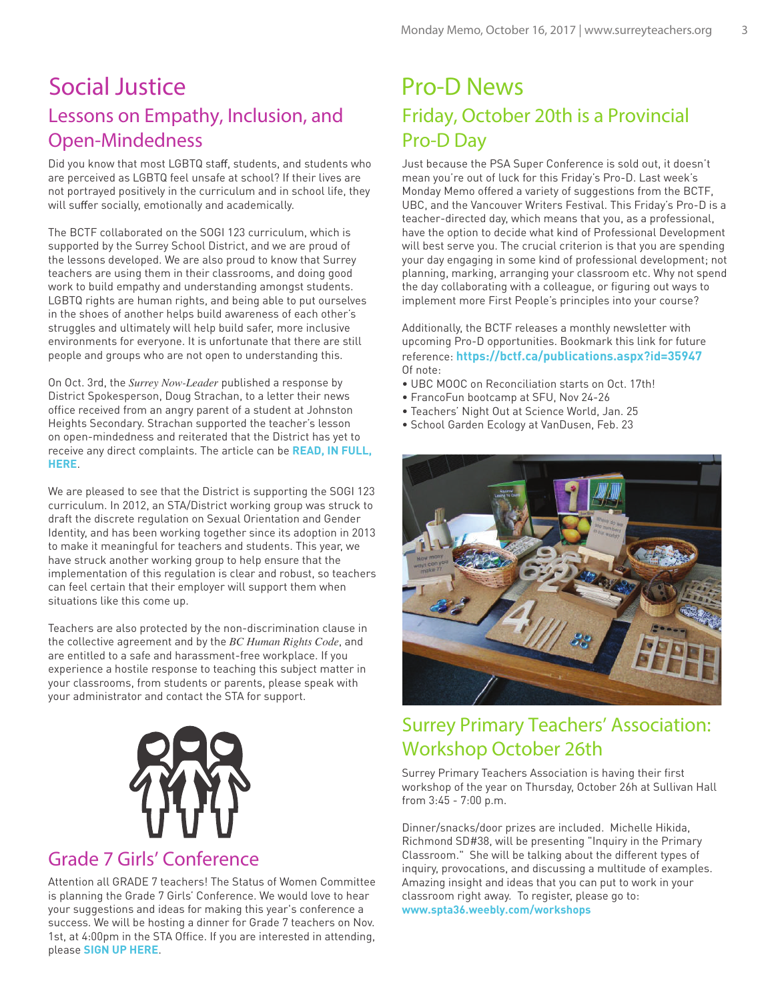# Lessons on Empathy, Inclusion, and Open-Mindedness Social Justice

Did you know that most LGBTQ staff, students, and students who are perceived as LGBTQ feel unsafe at school? If their lives are not portrayed positively in the curriculum and in school life, they will suffer socially, emotionally and academically.

The BCTF collaborated on the SOGI 123 curriculum, which is supported by the Surrey School District, and we are proud of the lessons developed. We are also proud to know that Surrey teachers are using them in their classrooms, and doing good work to build empathy and understanding amongst students. LGBTQ rights are human rights, and being able to put ourselves in the shoes of another helps build awareness of each other's struggles and ultimately will help build safer, more inclusive environments for everyone. It is unfortunate that there are still people and groups who are not open to understanding this.

On Oct. 3rd, the *Surrey Now-Leader* published a response by District Spokesperson, Doug Strachan, to a letter their news office received from an angry parent of a student at Johnston Heights Secondary. Strachan supported the teacher's lesson on open-mindedness and reiterated that the District has yet to receive any direct complaints. The article can be **[READ, IN FULL,](https://www.surreynowleader.com/news/surrey-grade-8-lesson-on-open-mindedness-draws-fire)  [HERE](https://www.surreynowleader.com/news/surrey-grade-8-lesson-on-open-mindedness-draws-fire)**.

We are pleased to see that the District is supporting the SOGI 123 curriculum. In 2012, an STA/District working group was struck to draft the discrete regulation on Sexual Orientation and Gender Identity, and has been working together since its adoption in 2013 to make it meaningful for teachers and students. This year, we have struck another working group to help ensure that the implementation of this regulation is clear and robust, so teachers can feel certain that their employer will support them when situations like this come up.

Teachers are also protected by the non-discrimination clause in the collective agreement and by the *BC Human Rights Code*, and are entitled to a safe and harassment-free workplace. If you experience a hostile response to teaching this subject matter in your classrooms, from students or parents, please speak with your administrator and contact the STA for support.



### Grade 7 Girls' Conference

Attention all GRADE 7 teachers! The Status of Women Committee is planning the Grade 7 Girls' Conference. We would love to hear your suggestions and ideas for making this year's conference a success. We will be hosting a dinner for Grade 7 teachers on Nov. 1st, at 4:00pm in the STA Office. If you are interested in attending, please **[SIGN UP HERE](https://girlsconferenceplanningdinner-20171101.eventbrite.ca)**.

# Friday, October 20th is a Provincial Pro-D Day Pro-D News

Just because the PSA Super Conference is sold out, it doesn't mean you're out of luck for this Friday's Pro-D. Last week's Monday Memo offered a variety of suggestions from the BCTF, UBC, and the Vancouver Writers Festival. This Friday's Pro-D is a teacher-directed day, which means that you, as a professional, have the option to decide what kind of Professional Development will best serve you. The crucial criterion is that you are spending your day engaging in some kind of professional development; not planning, marking, arranging your classroom etc. Why not spend the day collaborating with a colleague, or figuring out ways to implement more First People's principles into your course?

Additionally, the BCTF releases a monthly newsletter with upcoming Pro-D opportunities. Bookmark this link for future reference: **https://bctf.ca/publications.aspx?id=35947** Of note:

- UBC MOOC on Reconciliation starts on Oct. 17th!
- FrancoFun bootcamp at SFU, Nov 24-26
- Teachers' Night Out at Science World, Jan. 25
- School Garden Ecology at VanDusen, Feb. 23



## Surrey Primary Teachers' Association: Workshop October 26th

Surrey Primary Teachers Association is having their first workshop of the year on Thursday, October 26h at Sullivan Hall from 3:45 - 7:00 p.m.

Dinner/snacks/door prizes are included. Michelle Hikida, Richmond SD#38, will be presenting "Inquiry in the Primary Classroom." She will be talking about the different types of inquiry, provocations, and discussing a multitude of examples. Amazing insight and ideas that you can put to work in your classroom right away. To register, please go to: **www.spta36.weebly.com/workshops**